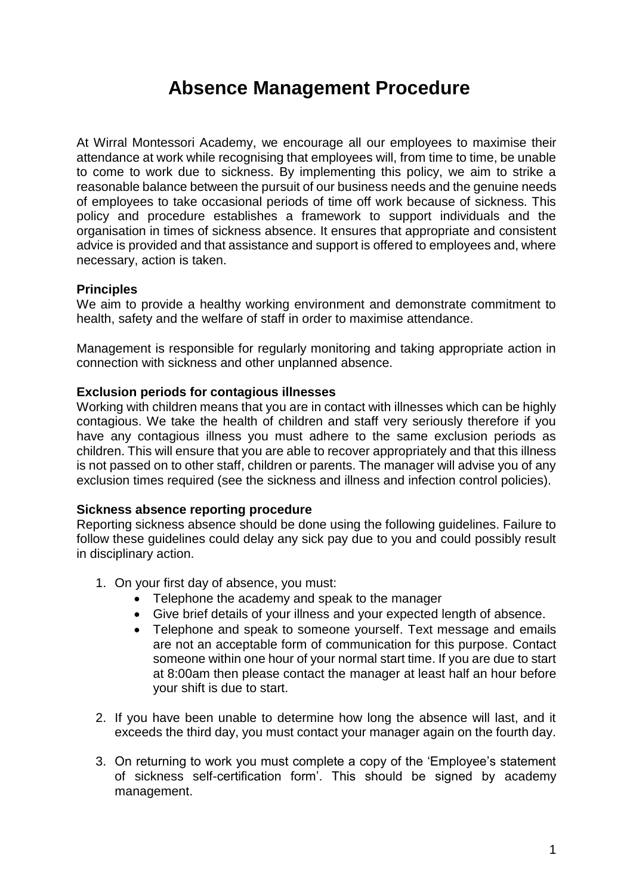# **Absence Management Procedure**

At Wirral Montessori Academy, we encourage all our employees to maximise their attendance at work while recognising that employees will, from time to time, be unable to come to work due to sickness. By implementing this policy, we aim to strike a reasonable balance between the pursuit of our business needs and the genuine needs of employees to take occasional periods of time off work because of sickness. This policy and procedure establishes a framework to support individuals and the organisation in times of sickness absence. It ensures that appropriate and consistent advice is provided and that assistance and support is offered to employees and, where necessary, action is taken.

# **Principles**

We aim to provide a healthy working environment and demonstrate commitment to health, safety and the welfare of staff in order to maximise attendance.

Management is responsible for regularly monitoring and taking appropriate action in connection with sickness and other unplanned absence.

# **Exclusion periods for contagious illnesses**

Working with children means that you are in contact with illnesses which can be highly contagious. We take the health of children and staff very seriously therefore if you have any contagious illness you must adhere to the same exclusion periods as children. This will ensure that you are able to recover appropriately and that this illness is not passed on to other staff, children or parents. The manager will advise you of any exclusion times required (see the sickness and illness and infection control policies).

# **Sickness absence reporting procedure**

Reporting sickness absence should be done using the following guidelines. Failure to follow these guidelines could delay any sick pay due to you and could possibly result in disciplinary action.

- 1. On your first day of absence, you must:
	- Telephone the academy and speak to the manager
	- Give brief details of your illness and your expected length of absence.
	- Telephone and speak to someone yourself. Text message and emails are not an acceptable form of communication for this purpose. Contact someone within one hour of your normal start time. If you are due to start at 8:00am then please contact the manager at least half an hour before your shift is due to start.
- 2. If you have been unable to determine how long the absence will last, and it exceeds the third day, you must contact your manager again on the fourth day.
- 3. On returning to work you must complete a copy of the 'Employee's statement of sickness self-certification form'. This should be signed by academy management.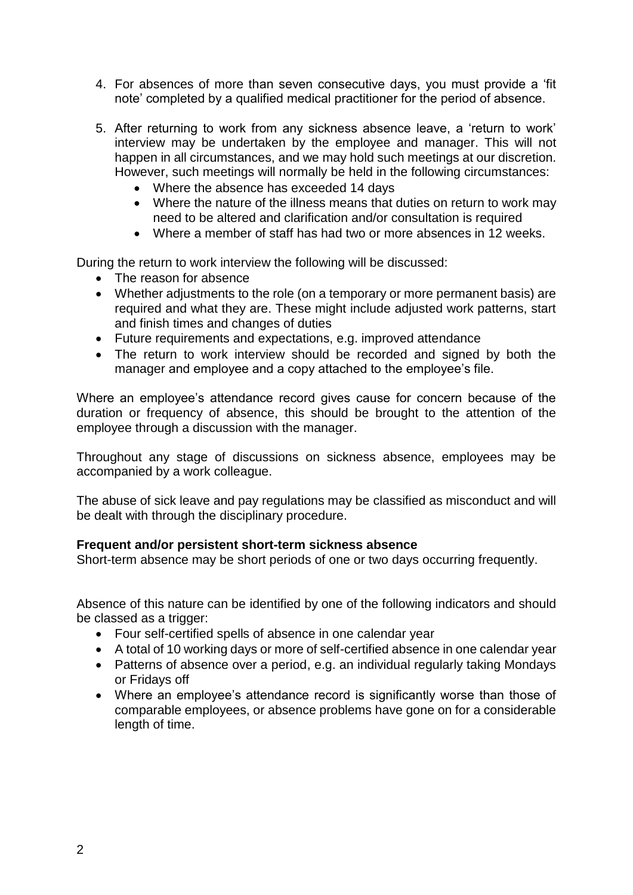- 4. For absences of more than seven consecutive days, you must provide a 'fit note' completed by a qualified medical practitioner for the period of absence.
- 5. After returning to work from any sickness absence leave, a 'return to work' interview may be undertaken by the employee and manager. This will not happen in all circumstances, and we may hold such meetings at our discretion. However, such meetings will normally be held in the following circumstances:
	- Where the absence has exceeded 14 days
	- Where the nature of the illness means that duties on return to work may need to be altered and clarification and/or consultation is required
	- Where a member of staff has had two or more absences in 12 weeks.

During the return to work interview the following will be discussed:

- The reason for absence
- Whether adjustments to the role (on a temporary or more permanent basis) are required and what they are. These might include adjusted work patterns, start and finish times and changes of duties
- Future requirements and expectations, e.g. improved attendance
- The return to work interview should be recorded and signed by both the manager and employee and a copy attached to the employee's file.

Where an employee's attendance record gives cause for concern because of the duration or frequency of absence, this should be brought to the attention of the employee through a discussion with the manager.

Throughout any stage of discussions on sickness absence, employees may be accompanied by a work colleague.

The abuse of sick leave and pay regulations may be classified as misconduct and will be dealt with through the disciplinary procedure.

# **Frequent and/or persistent short-term sickness absence**

Short-term absence may be short periods of one or two days occurring frequently.

Absence of this nature can be identified by one of the following indicators and should be classed as a trigger:

- Four self-certified spells of absence in one calendar year
- A total of 10 working days or more of self-certified absence in one calendar year
- Patterns of absence over a period, e.g. an individual regularly taking Mondays or Fridays off
- Where an employee's attendance record is significantly worse than those of comparable employees, or absence problems have gone on for a considerable length of time.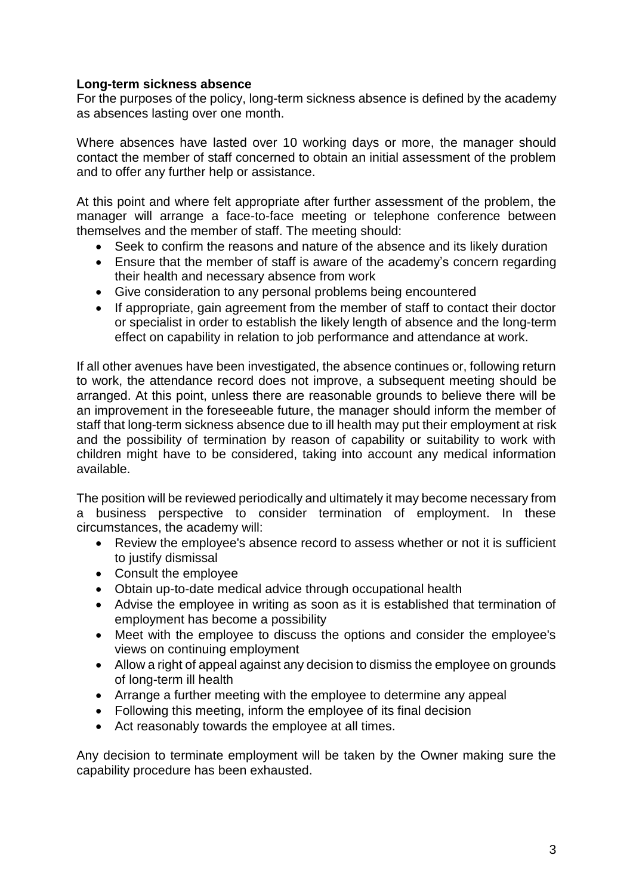# **Long-term sickness absence**

For the purposes of the policy, long-term sickness absence is defined by the academy as absences lasting over one month.

Where absences have lasted over 10 working days or more, the manager should contact the member of staff concerned to obtain an initial assessment of the problem and to offer any further help or assistance.

At this point and where felt appropriate after further assessment of the problem, the manager will arrange a face-to-face meeting or telephone conference between themselves and the member of staff. The meeting should:

- Seek to confirm the reasons and nature of the absence and its likely duration
- Ensure that the member of staff is aware of the academy's concern regarding their health and necessary absence from work
- Give consideration to any personal problems being encountered
- If appropriate, gain agreement from the member of staff to contact their doctor or specialist in order to establish the likely length of absence and the long-term effect on capability in relation to job performance and attendance at work.

If all other avenues have been investigated, the absence continues or, following return to work, the attendance record does not improve, a subsequent meeting should be arranged. At this point, unless there are reasonable grounds to believe there will be an improvement in the foreseeable future, the manager should inform the member of staff that long-term sickness absence due to ill health may put their employment at risk and the possibility of termination by reason of capability or suitability to work with children might have to be considered, taking into account any medical information available.

The position will be reviewed periodically and ultimately it may become necessary from a business perspective to consider termination of employment. In these circumstances, the academy will:

- Review the employee's absence record to assess whether or not it is sufficient to justify dismissal
- Consult the employee
- Obtain up-to-date medical advice through occupational health
- Advise the employee in writing as soon as it is established that termination of employment has become a possibility
- Meet with the employee to discuss the options and consider the employee's views on continuing employment
- Allow a right of appeal against any decision to dismiss the employee on grounds of long-term ill health
- Arrange a further meeting with the employee to determine any appeal
- Following this meeting, inform the employee of its final decision
- Act reasonably towards the employee at all times.

Any decision to terminate employment will be taken by the Owner making sure the capability procedure has been exhausted.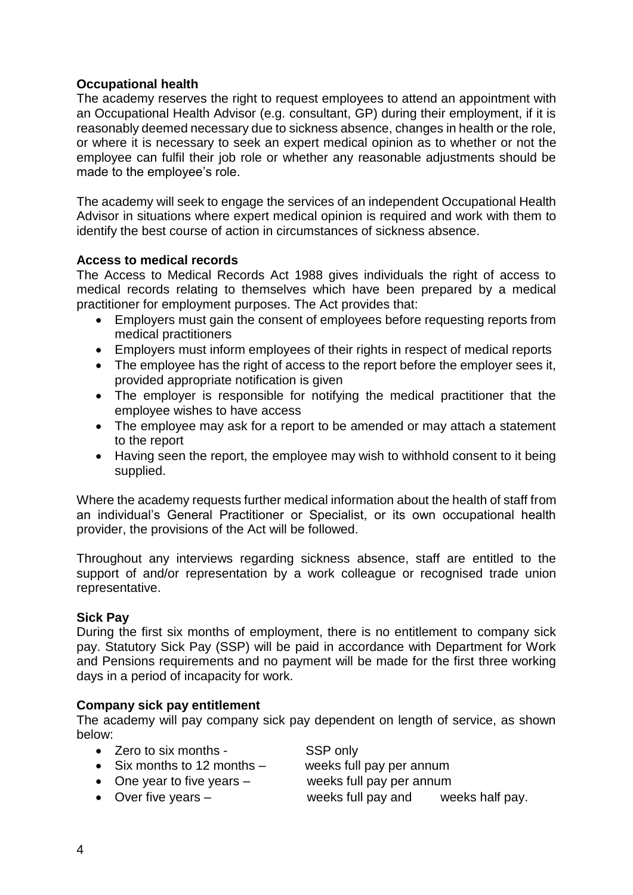# **Occupational health**

The academy reserves the right to request employees to attend an appointment with an Occupational Health Advisor (e.g. consultant, GP) during their employment, if it is reasonably deemed necessary due to sickness absence, changes in health or the role, or where it is necessary to seek an expert medical opinion as to whether or not the employee can fulfil their job role or whether any reasonable adjustments should be made to the employee's role.

The academy will seek to engage the services of an independent Occupational Health Advisor in situations where expert medical opinion is required and work with them to identify the best course of action in circumstances of sickness absence.

# **Access to medical records**

The Access to Medical Records Act 1988 gives individuals the right of access to medical records relating to themselves which have been prepared by a medical practitioner for employment purposes. The Act provides that:

- Employers must gain the consent of employees before requesting reports from medical practitioners
- Employers must inform employees of their rights in respect of medical reports
- The employee has the right of access to the report before the employer sees it, provided appropriate notification is given
- The employer is responsible for notifying the medical practitioner that the employee wishes to have access
- The employee may ask for a report to be amended or may attach a statement to the report
- Having seen the report, the employee may wish to withhold consent to it being supplied.

Where the academy requests further medical information about the health of staff from an individual's General Practitioner or Specialist, or its own occupational health provider, the provisions of the Act will be followed.

Throughout any interviews regarding sickness absence, staff are entitled to the support of and/or representation by a work colleague or recognised trade union representative.

# **Sick Pay**

During the first six months of employment, there is no entitlement to company sick pay. Statutory Sick Pay (SSP) will be paid in accordance with Department for Work and Pensions requirements and no payment will be made for the first three working days in a period of incapacity for work.

# **Company sick pay entitlement**

The academy will pay company sick pay dependent on length of service, as shown below:

- Zero to six months SSP only
	-
- Six months to 12 months weeks full pay per annum
- 
- One year to five years weeks full pay per annum
- 
- 
- Over five years weeks full pay and weeks half pay.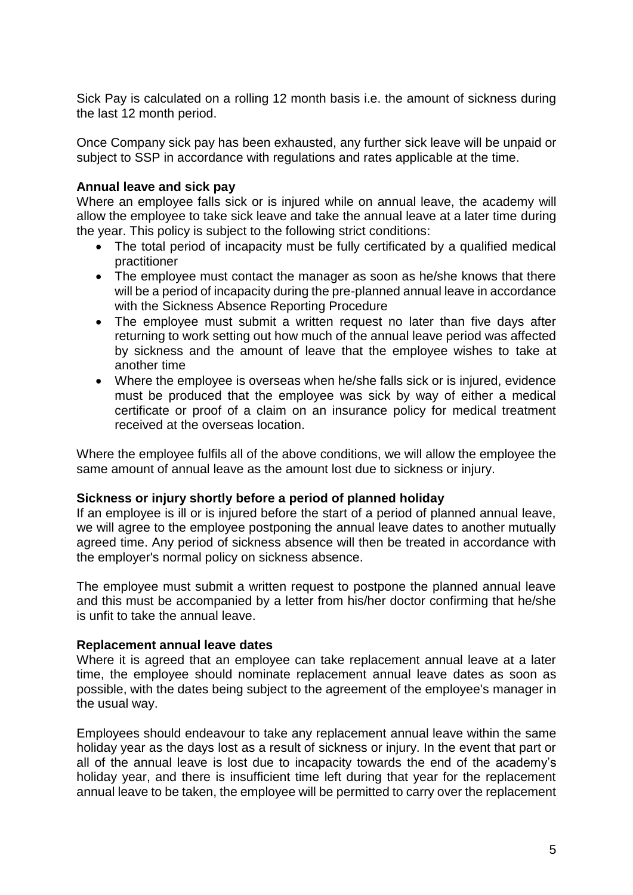Sick Pay is calculated on a rolling 12 month basis i.e. the amount of sickness during the last 12 month period.

Once Company sick pay has been exhausted, any further sick leave will be unpaid or subject to SSP in accordance with regulations and rates applicable at the time.

# **Annual leave and sick pay**

Where an employee falls sick or is injured while on annual leave, the academy will allow the employee to take sick leave and take the annual leave at a later time during the year. This policy is subject to the following strict conditions:

- The total period of incapacity must be fully certificated by a qualified medical practitioner
- The employee must contact the manager as soon as he/she knows that there will be a period of incapacity during the pre-planned annual leave in accordance with the Sickness Absence Reporting Procedure
- The employee must submit a written request no later than five days after returning to work setting out how much of the annual leave period was affected by sickness and the amount of leave that the employee wishes to take at another time
- Where the employee is overseas when he/she falls sick or is injured, evidence must be produced that the employee was sick by way of either a medical certificate or proof of a claim on an insurance policy for medical treatment received at the overseas location.

Where the employee fulfils all of the above conditions, we will allow the employee the same amount of annual leave as the amount lost due to sickness or injury.

#### **Sickness or injury shortly before a period of planned holiday**

If an employee is ill or is injured before the start of a period of planned annual leave, we will agree to the employee postponing the annual leave dates to another mutually agreed time. Any period of sickness absence will then be treated in accordance with the employer's normal policy on sickness absence.

The employee must submit a written request to postpone the planned annual leave and this must be accompanied by a letter from his/her doctor confirming that he/she is unfit to take the annual leave.

#### **Replacement annual leave dates**

Where it is agreed that an employee can take replacement annual leave at a later time, the employee should nominate replacement annual leave dates as soon as possible, with the dates being subject to the agreement of the employee's manager in the usual way.

Employees should endeavour to take any replacement annual leave within the same holiday year as the days lost as a result of sickness or injury. In the event that part or all of the annual leave is lost due to incapacity towards the end of the academy's holiday year, and there is insufficient time left during that year for the replacement annual leave to be taken, the employee will be permitted to carry over the replacement